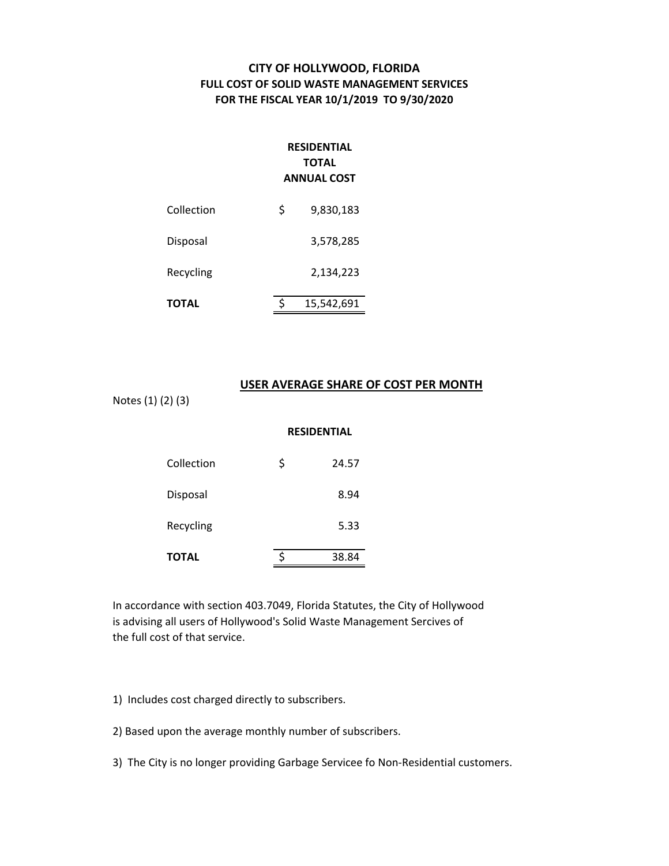## **CITY OF HOLLYWOOD, FLORIDA FULL COST OF SOLID WASTE MANAGEMENT SERVICES FOR THE FISCAL YEAR 10/1/2019 TO 9/30/2020**

## **RESIDENTIAL TOTAL ANNUAL COST**

| Collection   | \$ | 9,830,183  |
|--------------|----|------------|
| Disposal     |    | 3,578,285  |
| Recycling    |    | 2,134,223  |
| <b>TOTAL</b> | Ś  | 15,542,691 |

### **USER AVERAGE SHARE OF COST PER MONTH**

Notes (1) (2) (3)

### **RESIDENTIAL**

| TOTAL      | 38.84       |
|------------|-------------|
| Recycling  | 5.33        |
| Disposal   | 8.94        |
| Collection | \$<br>24.57 |

In accordance with section 403.7049, Florida Statutes, the City of Hollywood is advising all users of Hollywood's Solid Waste Management Sercives of the full cost of that service.

1) Includes cost charged directly to subscribers.

2) Based upon the average monthly number of subscribers.

3) The City is no longer providing Garbage Servicee fo Non‐Residential customers.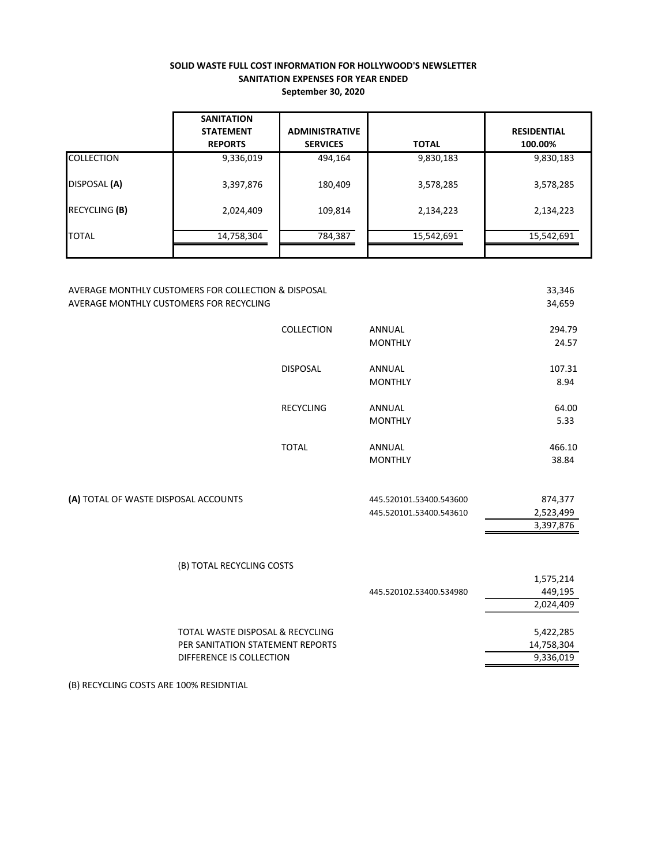#### **SOLID WASTE FULL COST INFORMATION FOR HOLLYWOOD'S NEWSLETTER SANITATION EXPENSES FOR YEAR ENDED September 30, 2020**

|                   | <b>SANITATION</b><br><b>STATEMENT</b><br><b>REPORTS</b> | <b>ADMINISTRATIVE</b><br><b>SERVICES</b> | <b>TOTAL</b> | <b>RESIDENTIAL</b><br>100.00% |
|-------------------|---------------------------------------------------------|------------------------------------------|--------------|-------------------------------|
| <b>COLLECTION</b> | 9,336,019                                               | 494,164                                  | 9,830,183    | 9,830,183                     |
| DISPOSAL (A)      | 3,397,876                                               | 180,409                                  | 3,578,285    | 3,578,285                     |
| RECYCLING (B)     | 2,024,409                                               | 109,814                                  | 2,134,223    | 2,134,223                     |
| <b>TOTAL</b>      | 14,758,304                                              | 784,387                                  | 15,542,691   | 15,542,691                    |

| AVERAGE MONTHLY CUSTOMERS FOR COLLECTION & DISPOSAL<br>AVERAGE MONTHLY CUSTOMERS FOR RECYCLING   |                   |                                                    | 33,346<br>34,659                     |
|--------------------------------------------------------------------------------------------------|-------------------|----------------------------------------------------|--------------------------------------|
|                                                                                                  | <b>COLLECTION</b> | <b>ANNUAL</b><br><b>MONTHLY</b>                    | 294.79<br>24.57                      |
|                                                                                                  | <b>DISPOSAL</b>   | <b>ANNUAL</b><br><b>MONTHLY</b>                    | 107.31<br>8.94                       |
|                                                                                                  | <b>RECYCLING</b>  | <b>ANNUAL</b><br><b>MONTHLY</b>                    | 64.00<br>5.33                        |
|                                                                                                  | <b>TOTAL</b>      | ANNUAL<br><b>MONTHLY</b>                           | 466.10<br>38.84                      |
| (A) TOTAL OF WASTE DISPOSAL ACCOUNTS                                                             |                   | 445.520101.53400.543600<br>445.520101.53400.543610 | 874,377<br>2,523,499<br>3,397,876    |
| (B) TOTAL RECYCLING COSTS                                                                        |                   |                                                    | 1,575,214                            |
|                                                                                                  |                   | 445.520102.53400.534980                            | 449,195<br>2,024,409                 |
| TOTAL WASTE DISPOSAL & RECYCLING<br>PER SANITATION STATEMENT REPORTS<br>DIFFERENCE IS COLLECTION |                   |                                                    | 5,422,285<br>14,758,304<br>9,336,019 |

(B) RECYCLING COSTS ARE 100% RESIDNTIAL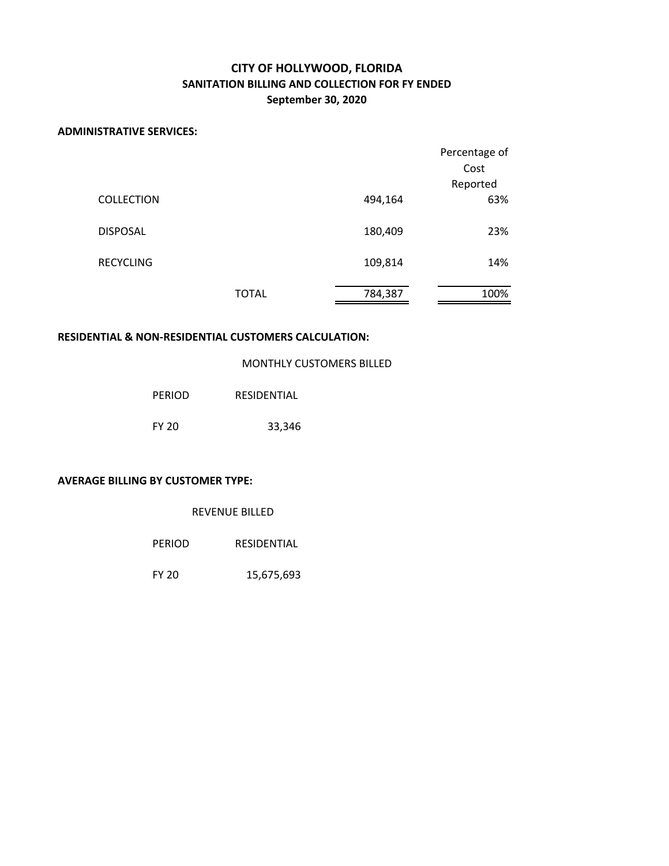## **CITY OF HOLLYWOOD, FLORIDA SANITATION BILLING AND COLLECTION FOR FY ENDED September 30, 2020**

### **ADMINISTRATIVE SERVICES:**

|                   |              |         | Percentage of |
|-------------------|--------------|---------|---------------|
|                   |              |         | Cost          |
|                   |              |         | Reported      |
| <b>COLLECTION</b> |              | 494,164 | 63%           |
| <b>DISPOSAL</b>   |              | 180,409 | 23%           |
| <b>RECYCLING</b>  |              | 109,814 | 14%           |
|                   | <b>TOTAL</b> | 784,387 | 100%          |

### **RESIDENTIAL & NON‐RESIDENTIAL CUSTOMERS CALCULATION:**

|  | MONTHLY CUSTOMERS BILLED |  |
|--|--------------------------|--|
|--|--------------------------|--|

| PERIOD | RESIDENTIAL |
|--------|-------------|
| FY 20  | 33,346      |

#### **AVERAGE BILLING BY CUSTOMER TYPE:**

| <b>REVENUE BILLED</b> |  |
|-----------------------|--|
|-----------------------|--|

| <b>PERIOD</b> | RESIDENTIAL |
|---------------|-------------|
|               |             |

FY 20 15,675,693